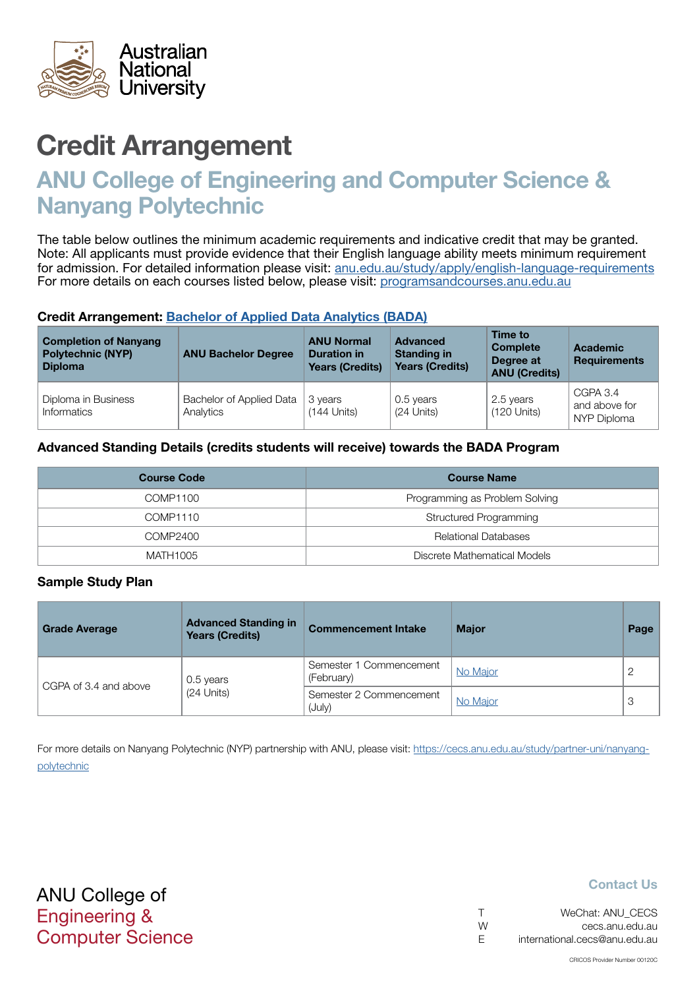

# Credit Arrangement

# ANU College of Engineering and Computer Science & Nanyang Polytechnic

The table below outlines the minimum academic requirements and indicative credit that may be granted. Note: All applicants must provide evidence that their English language ability meets minimum requirement for admission. For detailed information please visit: [anu.edu.au/study/apply/english-language-requirements](http://anu.edu.au/study/apply/english-language-requirements) For more details on each courses listed below, please visit: [programsandcourses.anu.edu.au](http://programsandcourses.anu.edu.au/program/BIT)

#### Credit Arrangement: [Bachelor of Applied Data Analytics](http://programsandcourses.anu.edu.au/program/BADAN) (BADA)

| <b>Completion of Nanyang</b><br><b>Polytechnic (NYP)</b><br><b>Diploma</b> | <b>ANU Bachelor Degree</b>            | <b>ANU Normal</b><br><b>Duration in</b><br><b>Years (Credits)</b> | <b>Advanced</b><br><b>Standing in</b><br><b>Years (Credits)</b> | Time to<br><b>Complete</b><br>Degree at<br><b>ANU (Credits)</b> | <b>Academic</b><br><b>Requirements</b>   |
|----------------------------------------------------------------------------|---------------------------------------|-------------------------------------------------------------------|-----------------------------------------------------------------|-----------------------------------------------------------------|------------------------------------------|
| Diploma in Business<br>Informatics                                         | Bachelor of Applied Data<br>Analytics | 3 years<br>$(144$ Units)                                          | 0.5 years<br>(24 Units)                                         | 2.5 years<br>$(120$ Units)                                      | CGPA 3.4<br>and above for<br>NYP Diploma |

### Advanced Standing Details (credits students will receive) towards the BADA Program

| <b>Course Code</b><br><b>Course Name</b> |                                |
|------------------------------------------|--------------------------------|
| COMP1100                                 | Programming as Problem Solving |
| COMP1110                                 | Structured Programming         |
| COMP2400                                 | <b>Relational Databases</b>    |
| Discrete Mathematical Models<br>MATH1005 |                                |

#### Sample Study Plan

| <b>Grade Average</b>  | <b>Advanced Standing in</b><br><b>Years (Credits)</b> | <b>Commencement Intake</b>            | <b>Major</b> | Page |
|-----------------------|-------------------------------------------------------|---------------------------------------|--------------|------|
|                       | 0.5 years                                             | Semester 1 Commencement<br>(February) | No Major     |      |
| CGPA of 3.4 and above | $(24$ Units)                                          | Semester 2 Commencement<br>(July)     | No Major     | 3    |

For more details on Nanyang Polytechnic (NYP) partnership with ANU, please visit: https://cecs.anu.edu.au/study/partner-uni/nanyangpolytechnic

### Contact Us

| $\top$ | WeChat: ANU CECS              |
|--------|-------------------------------|
| W      | cecs.anu.edu.au               |
| E      | international.cecs@anu.edu.au |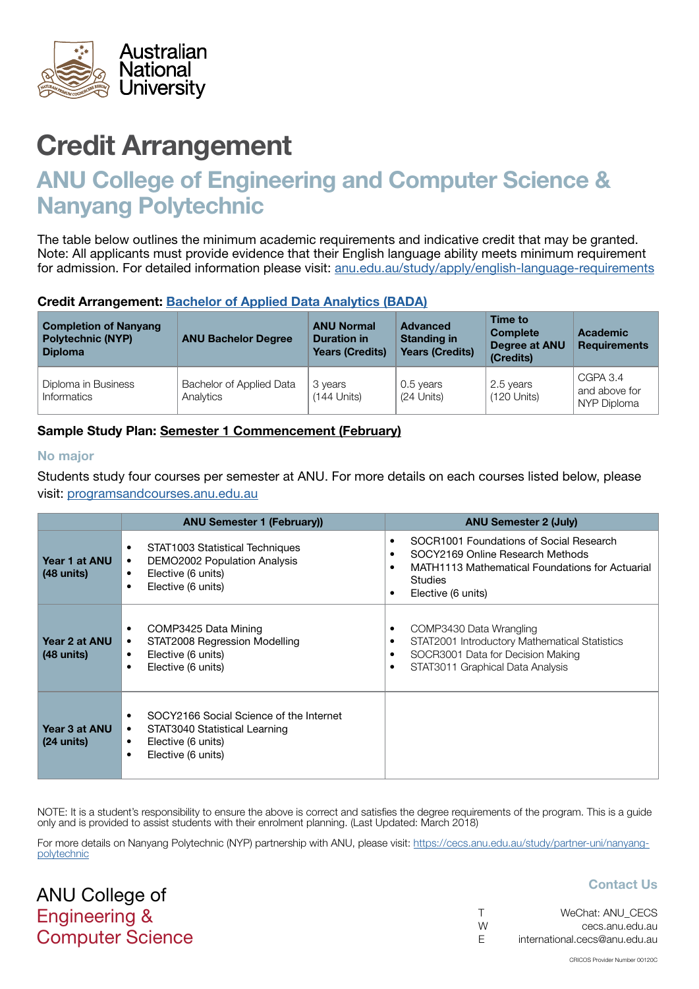<span id="page-1-0"></span>

# Credit Arrangement

# ANU College of Engineering and Computer Science & Nanyang Polytechnic

The table below outlines the minimum academic requirements and indicative credit that may be granted. Note: All applicants must provide evidence that their English language ability meets minimum requirement for admission. For detailed information please visit: [anu.edu.au/study/apply/english-language-requirements](http://anu.edu.au/study/apply/english-language-requirements)

### Credit Arrangement: [Bachelor of Applied Data Analytics](http://programsandcourses.anu.edu.au/program/BADAN) (BADA)

| <b>Completion of Nanyang</b><br><b>Polytechnic (NYP)</b><br><b>Diploma</b> | <b>ANU Bachelor Degree</b>            | <b>ANU Normal</b><br><b>Duration in</b><br><b>Years (Credits)</b> | <b>Advanced</b><br><b>Standing in</b><br><b>Years (Credits)</b> | Time to<br><b>Complete</b><br>Degree at ANU<br>(Credits) | <b>Academic</b><br><b>Requirements</b>   |
|----------------------------------------------------------------------------|---------------------------------------|-------------------------------------------------------------------|-----------------------------------------------------------------|----------------------------------------------------------|------------------------------------------|
| Diploma in Business<br>Informatics                                         | Bachelor of Applied Data<br>Analytics | 3 years<br>$(144$ Units)                                          | 0.5 years<br>(24 Units)                                         | 2.5 years<br>$(120$ Units)                               | CGPA 3.4<br>and above for<br>NYP Diploma |

## Sample Study Plan: Semester 1 Commencement (February)

#### No major

ANU College of Engineering &

Computer Science

Students study four courses per semester at ANU. For more details on each courses listed below, please visit: [programsandcourses.anu.edu.au](http://programsandcourses.anu.edu.au/program/BIT)

|                                       | <b>ANU Semester 1 (February))</b>                                                                                                                   | <b>ANU Semester 2 (July)</b>                                                                                                                                           |
|---------------------------------------|-----------------------------------------------------------------------------------------------------------------------------------------------------|------------------------------------------------------------------------------------------------------------------------------------------------------------------------|
| Year 1 at ANU<br>$(48 \text{ units})$ | STAT1003 Statistical Techniques<br>٠<br>DEMO2002 Population Analysis<br>٠<br>Elective (6 units)<br>$\bullet$<br>Elective (6 units)<br>$\bullet$     | SOCR1001 Foundations of Social Research<br>SOCY2169 Online Research Methods<br>MATH1113 Mathematical Foundations for Actuarial<br><b>Studies</b><br>Elective (6 units) |
| Year 2 at ANU<br>$(48 \text{ units})$ | COMP3425 Data Mining<br>٠<br>STAT2008 Regression Modelling<br>٠<br>Elective (6 units)<br>٠<br>Elective (6 units)<br>$\bullet$                       | COMP3430 Data Wrangling<br>STAT2001 Introductory Mathematical Statistics<br>SOCR3001 Data for Decision Making<br>STAT3011 Graphical Data Analysis                      |
| Year 3 at ANU<br>$(24 \text{ units})$ | SOCY2166 Social Science of the Internet<br>STAT3040 Statistical Learning<br>$\bullet$<br>Elective (6 units)<br>٠<br>Elective (6 units)<br>$\bullet$ |                                                                                                                                                                        |

NOTE: It is a student's responsibility to ensure the above is correct and satisfies the degree requirements of the program. This is a quide only and is provided to assist students with their enrolment planning. (Last Updated: March 2018)

For more details on Nanyang Polytechnic (NYP) partnership with ANU, please visit: https://cecs.anu.edu.au/study/partner-uni/nanyangpolytechnic

## Contact Us

|    | WeChat: ANU CECS              |
|----|-------------------------------|
| W  | cecs.anu.edu.au               |
| E. | international.cecs@anu.edu.au |